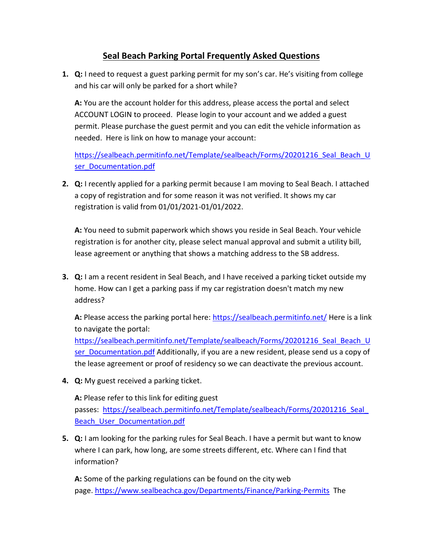## **Seal Beach Parking Portal Frequently Asked Questions**

**1. Q:** I need to request a guest parking permit for my son's car. He's visiting from college and his car will only be parked for a short while?

**A:** You are the account holder for this address, please access the portal and select ACCOUNT LOGIN to proceed. Please login to your account and we added a guest permit. Please purchase the guest permit and you can edit the vehicle information as needed. Here is link on how to manage your account:

https://sealbeach.permitinfo.net/Template/sealbeach/Forms/20201216 Seal Beach U ser Documentation.pdf

**2. Q:** I recently applied for a parking permit because I am moving to Seal Beach. I attached a copy of registration and for some reason it was not verified. It shows my car registration is valid from 01/01/2021-01/01/2022.

**A:** You need to submit paperwork which shows you reside in Seal Beach. Your vehicle registration is for another city, please select manual approval and submit a utility bill, lease agreement or anything that shows a matching address to the SB address.

**3. Q:** I am a recent resident in Seal Beach, and I have received a parking ticket outside my home. How can I get a parking pass if my car registration doesn't match my new address?

A: Please access the parking portal here:<https://sealbeach.permitinfo.net/> Here is a link to navigate the portal:

[https://sealbeach.permitinfo.net/Template/sealbeach/Forms/20201216\\_Seal\\_Beach\\_U](https://sealbeach.permitinfo.net/Template/sealbeach/Forms/20201216_Seal_Beach_User_Documentation.pdf) [ser\\_Documentation.pdf](https://sealbeach.permitinfo.net/Template/sealbeach/Forms/20201216_Seal_Beach_User_Documentation.pdf) Additionally, if you are a new resident, please send us a copy of the lease agreement or proof of residency so we can deactivate the previous account.

**4. Q:** My guest received a parking ticket.

**A:** Please refer to this link for editing guest passes: https://sealbeach.permitinfo.net/Template/sealbeach/Forms/20201216 Seal Beach User Documentation.pdf

**5. Q:** I am looking for the parking rules for Seal Beach. I have a permit but want to know where I can park, how long, are some streets different, etc. Where can I find that information?

**A:** Some of the parking regulations can be found on the city web page. <https://www.sealbeachca.gov/Departments/Finance/Parking-Permits>The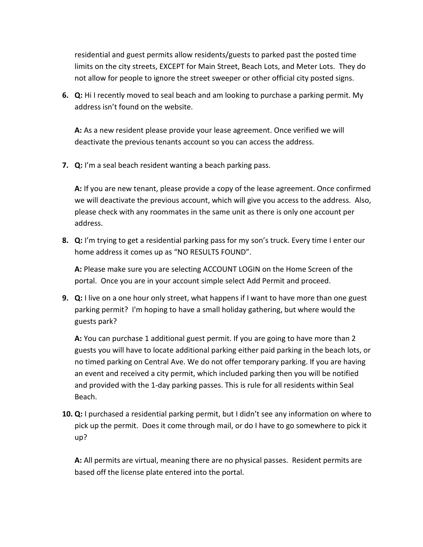residential and guest permits allow residents/guests to parked past the posted time limits on the city streets, EXCEPT for Main Street, Beach Lots, and Meter Lots. They do not allow for people to ignore the street sweeper or other official city posted signs.

**6. Q:** Hi I recently moved to seal beach and am looking to purchase a parking permit. My address isn't found on the website.

**A:** As a new resident please provide your lease agreement. Once verified we will deactivate the previous tenants account so you can access the address.

**7. Q:** I'm a seal beach resident wanting a beach parking pass.

**A:** If you are new tenant, please provide a copy of the lease agreement. Once confirmed we will deactivate the previous account, which will give you access to the address. Also, please check with any roommates in the same unit as there is only one account per address.

**8. Q:** I'm trying to get a residential parking pass for my son's truck. Every time I enter our home address it comes up as "NO RESULTS FOUND".

**A:** Please make sure you are selecting ACCOUNT LOGIN on the Home Screen of the portal. Once you are in your account simple select Add Permit and proceed.

**9. Q:** I live on a one hour only street, what happens if I want to have more than one guest parking permit? I'm hoping to have a small holiday gathering, but where would the guests park?

**A:** You can purchase 1 additional guest permit. If you are going to have more than 2 guests you will have to locate additional parking either paid parking in the beach lots, or no timed parking on Central Ave. We do not offer temporary parking. If you are having an event and received a city permit, which included parking then you will be notified and provided with the 1-day parking passes. This is rule for all residents within Seal Beach.

**10. Q:** I purchased a residential parking permit, but I didn't see any information on where to pick up the permit. Does it come through mail, or do I have to go somewhere to pick it up?

**A:** All permits are virtual, meaning there are no physical passes. Resident permits are based off the license plate entered into the portal.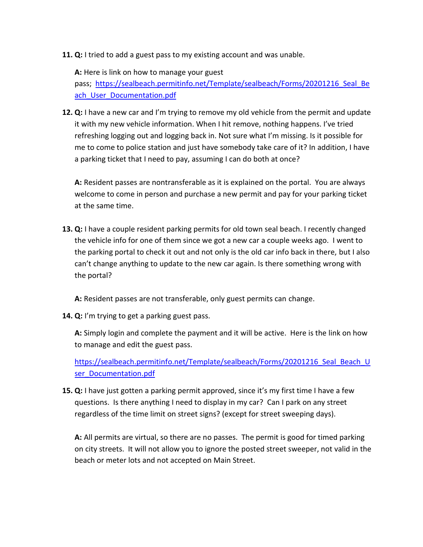**11. Q:** I tried to add a guest pass to my existing account and was unable.

**A:** Here is link on how to manage your guest

pass; [https://sealbeach.permitinfo.net/Template/sealbeach/Forms/20201216\\_Seal\\_Be](https://sealbeach.permitinfo.net/Template/sealbeach/Forms/20201216_Seal_Beach_User_Documentation.pdf) ach User Documentation.pdf

**12. Q:** I have a new car and I'm trying to remove my old vehicle from the permit and update it with my new vehicle information. When I hit remove, nothing happens. I've tried refreshing logging out and logging back in. Not sure what I'm missing. Is it possible for me to come to police station and just have somebody take care of it? In addition, I have a parking ticket that I need to pay, assuming I can do both at once?

**A:** Resident passes are nontransferable as it is explained on the portal. You are always welcome to come in person and purchase a new permit and pay for your parking ticket at the same time.

**13. Q:** I have a couple resident parking permits for old town seal beach. I recently changed the vehicle info for one of them since we got a new car a couple weeks ago. I went to the parking portal to check it out and not only is the old car info back in there, but I also can't change anything to update to the new car again. Is there something wrong with the portal?

**A:** Resident passes are not transferable, only guest permits can change.

**14. Q:** I'm trying to get a parking guest pass.

**A:** Simply login and complete the payment and it will be active. Here is the link on how to manage and edit the guest pass.

https://sealbeach.permitinfo.net/Template/sealbeach/Forms/20201216 Seal Beach U ser Documentation.pdf

**15. Q:** I have just gotten a parking permit approved, since it's my first time I have a few questions. Is there anything I need to display in my car? Can I park on any street regardless of the time limit on street signs? (except for street sweeping days).

**A:** All permits are virtual, so there are no passes. The permit is good for timed parking on city streets. It will not allow you to ignore the posted street sweeper, not valid in the beach or meter lots and not accepted on Main Street.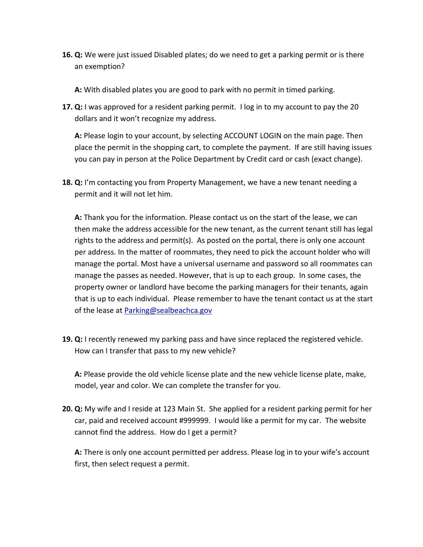**16. Q:** We were just issued Disabled plates; do we need to get a parking permit or is there an exemption?

**A:** With disabled plates you are good to park with no permit in timed parking.

**17. Q:** I was approved for a resident parking permit. I log in to my account to pay the 20 dollars and it won't recognize my address.

**A:** Please login to your account, by selecting ACCOUNT LOGIN on the main page. Then place the permit in the shopping cart, to complete the payment. If are still having issues you can pay in person at the Police Department by Credit card or cash (exact change).

**18. Q:** I'm contacting you from Property Management, we have a new tenant needing a permit and it will not let him.

**A:** Thank you for the information. Please contact us on the start of the lease, we can then make the address accessible for the new tenant, as the current tenant still has legal rights to the address and permit(s). As posted on the portal, there is only one account per address. In the matter of roommates, they need to pick the account holder who will manage the portal. Most have a universal username and password so all roommates can manage the passes as needed. However, that is up to each group. In some cases, the property owner or landlord have become the parking managers for their tenants, again that is up to each individual. Please remember to have the tenant contact us at the start of the lease at [Parking@sealbeachca.gov](mailto:Parking@sealbeachca.gov)

**19. Q:** I recently renewed my parking pass and have since replaced the registered vehicle. How can I transfer that pass to my new vehicle?

**A:** Please provide the old vehicle license plate and the new vehicle license plate, make, model, year and color. We can complete the transfer for you.

**20. Q:** My wife and I reside at 123 Main St. She applied for a resident parking permit for her car, paid and received account #999999. I would like a permit for my car. The website cannot find the address. How do I get a permit?

**A:** There is only one account permitted per address. Please log in to your wife's account first, then select request a permit.